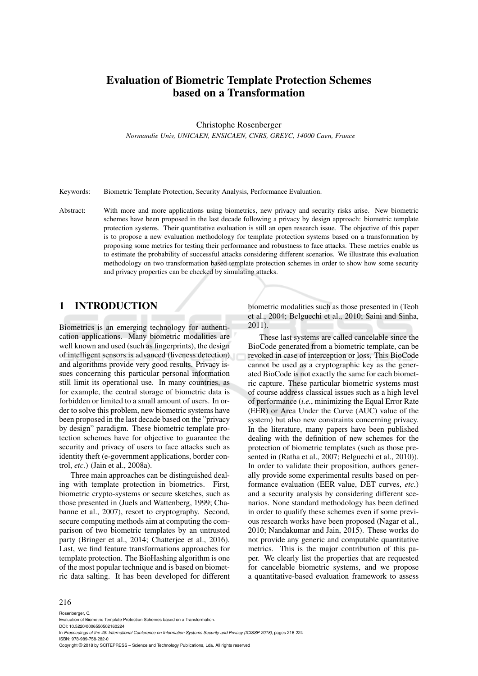# Evaluation of Biometric Template Protection Schemes based on a Transformation

Christophe Rosenberger

*Normandie Univ, UNICAEN, ENSICAEN, CNRS, GREYC, 14000 Caen, France*

Keywords: Biometric Template Protection, Security Analysis, Performance Evaluation.

Abstract: With more and more applications using biometrics, new privacy and security risks arise. New biometric schemes have been proposed in the last decade following a privacy by design approach: biometric template protection systems. Their quantitative evaluation is still an open research issue. The objective of this paper is to propose a new evaluation methodology for template protection systems based on a transformation by proposing some metrics for testing their performance and robustness to face attacks. These metrics enable us to estimate the probability of successful attacks considering different scenarios. We illustrate this evaluation methodology on two transformation based template protection schemes in order to show how some security and privacy properties can be checked by simulating attacks.

### 1 INTRODUCTION

Biometrics is an emerging technology for authentication applications. Many biometric modalities are well known and used (such as fingerprints), the design of intelligent sensors is advanced (liveness detection) and algorithms provide very good results. Privacy issues concerning this particular personal information still limit its operational use. In many countries, as for example, the central storage of biometric data is forbidden or limited to a small amount of users. In order to solve this problem, new biometric systems have been proposed in the last decade based on the "privacy by design" paradigm. These biometric template protection schemes have for objective to guarantee the security and privacy of users to face attacks such as identity theft (e-government applications, border control, *etc.*) (Jain et al., 2008a).

Three main approaches can be distinguished dealing with template protection in biometrics. First, biometric crypto-systems or secure sketches, such as those presented in (Juels and Wattenberg, 1999; Chabanne et al., 2007), resort to cryptography. Second, secure computing methods aim at computing the comparison of two biometric templates by an untrusted party (Bringer et al., 2014; Chatterjee et al., 2016). Last, we find feature transformations approaches for template protection. The BioHashing algorithm is one of the most popular technique and is based on biometric data salting. It has been developed for different biometric modalities such as those presented in (Teoh et al., 2004; Belguechi et al., 2010; Saini and Sinha, 2011).

These last systems are called cancelable since the BioCode generated from a biometric template, can be revoked in case of interception or loss. This BioCode cannot be used as a cryptographic key as the generated BioCode is not exactly the same for each biometric capture. These particular biometric systems must of course address classical issues such as a high level of performance (*i.e.*, minimizing the Equal Error Rate (EER) or Area Under the Curve (AUC) value of the system) but also new constraints concerning privacy. In the literature, many papers have been published dealing with the definition of new schemes for the protection of biometric templates (such as those presented in (Ratha et al., 2007; Belguechi et al., 2010)). In order to validate their proposition, authors generally provide some experimental results based on performance evaluation (EER value, DET curves, *etc.*) and a security analysis by considering different scenarios. None standard methodology has been defined in order to qualify these schemes even if some previous research works have been proposed (Nagar et al., 2010; Nandakumar and Jain, 2015). These works do not provide any generic and computable quantitative metrics. This is the major contribution of this paper. We clearly list the properties that are requested for cancelable biometric systems, and we propose a quantitative-based evaluation framework to assess

#### 216

Rosenberger, C.

Evaluation of Biometric Template Protection Schemes based on a Transformation. DOI: 10.5220/0006550502160224

In *Proceedings of the 4th International Conference on Information Systems Security and Privacy (ICISSP 2018)*, pages 216-224 ISBN: 978-989-758-282-0

Copyright © 2018 by SCITEPRESS – Science and Technology Publications, Lda. All rights reserved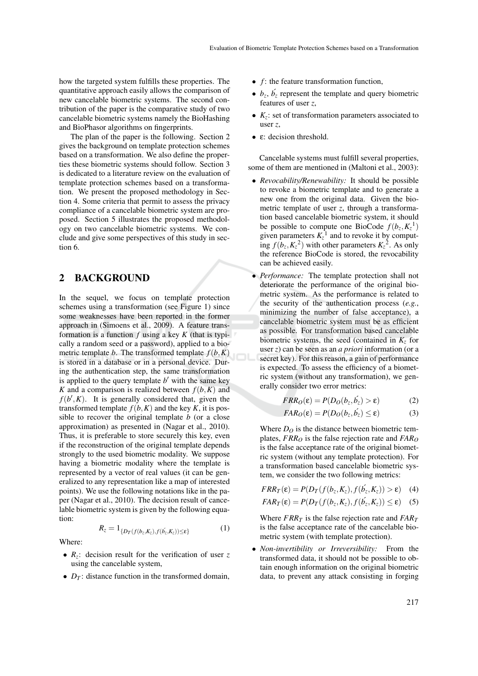how the targeted system fulfills these properties. The quantitative approach easily allows the comparison of new cancelable biometric systems. The second contribution of the paper is the comparative study of two cancelable biometric systems namely the BioHashing and BioPhasor algorithms on fingerprints.

The plan of the paper is the following. Section 2 gives the background on template protection schemes based on a transformation. We also define the properties these biometric systems should follow. Section 3 is dedicated to a literature review on the evaluation of template protection schemes based on a transformation. We present the proposed methodology in Section 4. Some criteria that permit to assess the privacy compliance of a cancelable biometric system are proposed. Section 5 illustrates the proposed methodology on two cancelable biometric systems. We conclude and give some perspectives of this study in section 6.

### 2 BACKGROUND

In the sequel, we focus on template protection schemes using a transformation (see Figure 1) since some weaknesses have been reported in the former approach in (Simoens et al., 2009). A feature transformation is a function *f* using a key *K* (that is typically a random seed or a password), applied to a biometric template *b*. The transformed template  $f(b,K)$ is stored in a database or in a personal device. During the authentication step, the same transformation is applied to the query template *b'* with the same key *K* and a comparison is realized between  $f(b,K)$  and  $f(b', K)$ . It is generally considered that, given the transformed template  $f(b,K)$  and the key *K*, it is possible to recover the original template *b* (or a close approximation) as presented in (Nagar et al., 2010). Thus, it is preferable to store securely this key, even if the reconstruction of the original template depends strongly to the used biometric modality. We suppose having a biometric modality where the template is represented by a vector of real values (it can be generalized to any representation like a map of interested points). We use the following notations like in the paper (Nagar et al., 2010). The decision result of cancelable biometric system is given by the following equation:

$$
R_z = 1_{\{D_T(f(b_z, K_z), f(b_z, K_z)) \le \varepsilon\}}\tag{1}
$$

Where:

- $R_z$ : decision result for the verification of user *z* using the cancelable system,
- $D_T$ : distance function in the transformed domain,
- *f*: the feature transformation function,
- $b_z$ ,  $b'_z$  represent the template and query biometric features of user *z*,
- $K_z$ : set of transformation parameters associated to user *z*,
- ε: decision threshold.

Cancelable systems must fulfill several properties, some of them are mentioned in (Maltoni et al., 2003):

- *Revocability/Renewability:* It should be possible to revoke a biometric template and to generate a new one from the original data. Given the biometric template of user *z*, through a transformation based cancelable biometric system, it should be possible to compute one BioCode  $f(b_z, K_z^{-1})$ given parameters  $K_z$ <sup>1</sup> and to revoke it by computing  $f(b_z, K_z^2)$  with other parameters  $K_z^2$ . As only the reference BioCode is stored, the revocability can be achieved easily.
- *Performance:* The template protection shall not deteriorate the performance of the original biometric system. As the performance is related to the security of the authentication process (*e.g.*, minimizing the number of false acceptance), a cancelable biometric system must be as efficient as possible. For transformation based cancelable biometric systems, the seed (contained in  $K_z$  for user *z*) can be seen as an *a priori* information (or a secret key). For this reason, a gain of performance is expected. To assess the efficiency of a biometric system (without any transformation), we generally consider two error metrics:

$$
FRR_O(\varepsilon) = P(D_O(b_z, b_z) > \varepsilon)
$$
 (2)

$$
FAR_O(\varepsilon) = P(D_O(b_z, b_z') \le \varepsilon)
$$
 (3)

Where  $D<sub>O</sub>$  is the distance between biometric templates,  $FRR_O$  is the false rejection rate and  $FAR_O$ is the false acceptance rate of the original biometric system (without any template protection). For a transformation based cancelable biometric system, we consider the two following metrics:

$$
FRR_T(\varepsilon) = P(D_T(f(b_z, K_z), f(b_z, K_z)) > \varepsilon) \quad (4)
$$
  

$$
FAR_T(\varepsilon) = P(D_T(f(b_z, K_z), f(b_z, K_z)) \le \varepsilon) \quad (5)
$$

Where  $FRR_T$  is the false rejection rate and  $FAR_T$ is the false acceptance rate of the cancelable biometric system (with template protection).

• *Non-invertibility or Irreversibility:* From the transformed data, it should not be possible to obtain enough information on the original biometric data, to prevent any attack consisting in forging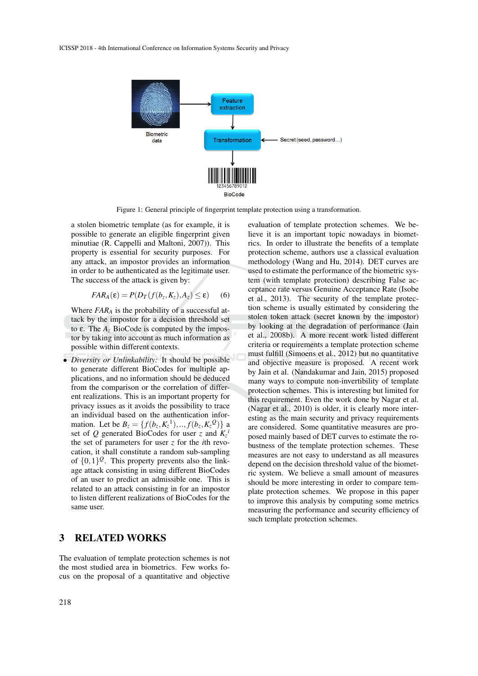

Figure 1: General principle of fingerprint template protection using a transformation.

a stolen biometric template (as for example, it is possible to generate an eligible fingerprint given minutiae (R. Cappelli and Maltoni, 2007)). This property is essential for security purposes. For any attack, an impostor provides an information in order to be authenticated as the legitimate user. The success of the attack is given by:

$$
FAR_A(\varepsilon) = P(D_T(f(b_z, K_z), A_z) \le \varepsilon) \tag{6}
$$

Where  $FAR_A$  is the probability of a successful attack by the impostor for a decision threshold set to ε. The *A<sup>z</sup>* BioCode is computed by the impostor by taking into account as much information as possible within different contexts.

• *Diversity or Unlinkability:* It should be possible to generate different BioCodes for multiple applications, and no information should be deduced from the comparison or the correlation of different realizations. This is an important property for privacy issues as it avoids the possibility to trace an individual based on the authentication information. Let be  $B_z = \{f(b_z, K_z^1), ..., f(b_z, K_z^0)\}\$ set of *Q* generated BioCodes for user *z* and  $K_z$ <sup>*i*</sup> the set of parameters for user *z* for the *i*th revocation, it shall constitute a random sub-sampling of  $\{0,1\}^{\mathcal{Q}}$ . This property prevents also the linkage attack consisting in using different BioCodes of an user to predict an admissible one. This is related to an attack consisting in for an impostor to listen different realizations of BioCodes for the same user.

### 3 RELATED WORKS

The evaluation of template protection schemes is not the most studied area in biometrics. Few works focus on the proposal of a quantitative and objective

evaluation of template protection schemes. We believe it is an important topic nowadays in biometrics. In order to illustrate the benefits of a template protection scheme, authors use a classical evaluation methodology (Wang and Hu, 2014). DET curves are used to estimate the performance of the biometric system (with template protection) describing False acceptance rate versus Genuine Acceptance Rate (Isobe et al., 2013). The security of the template protection scheme is usually estimated by considering the stolen token attack (secret known by the impostor) by looking at the degradation of performance (Jain et al., 2008b). A more recent work listed different criteria or requirements a template protection scheme must fulfill (Simoens et al., 2012) but no quantitative and objective measure is proposed. A recent work by Jain et al. (Nandakumar and Jain, 2015) proposed many ways to compute non-invertibility of template protection schemes. This is interesting but limited for this requirement. Even the work done by Nagar et al. (Nagar et al., 2010) is older, it is clearly more interesting as the main security and privacy requirements are considered. Some quantitative measures are proposed mainly based of DET curves to estimate the robustness of the template protection schemes. These measures are not easy to understand as all measures depend on the decision threshold value of the biometric system. We believe a small amount of measures should be more interesting in order to compare template protection schemes. We propose in this paper to improve this analysis by computing some metrics measuring the performance and security efficiency of such template protection schemes.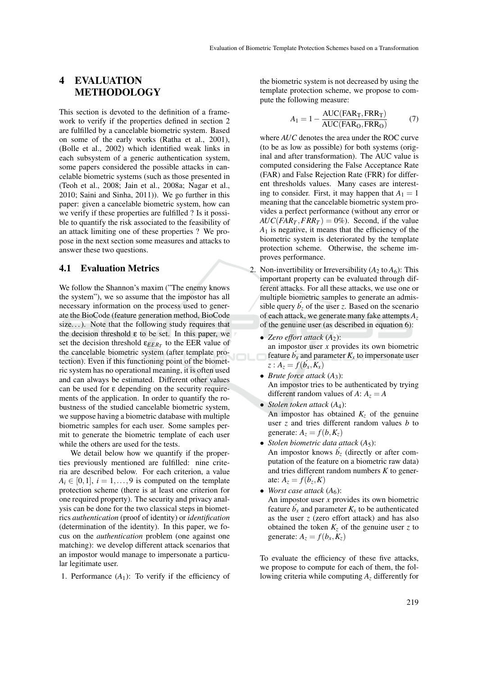### 4 EVALUATION METHODOLOGY

This section is devoted to the definition of a framework to verify if the properties defined in section 2 are fulfilled by a cancelable biometric system. Based on some of the early works (Ratha et al., 2001), (Bolle et al., 2002) which identified weak links in each subsystem of a generic authentication system, some papers considered the possible attacks in cancelable biometric systems (such as those presented in (Teoh et al., 2008; Jain et al., 2008a; Nagar et al., 2010; Saini and Sinha, 2011)). We go further in this paper: given a cancelable biometric system, how can we verify if these properties are fulfilled ? Is it possible to quantify the risk associated to the feasibility of an attack limiting one of these properties ? We propose in the next section some measures and attacks to answer these two questions.

#### 4.1 Evaluation Metrics

We follow the Shannon's maxim ("The enemy knows the system"), we so assume that the impostor has all necessary information on the process used to generate the BioCode (feature generation method, BioCode size...). Note that the following study requires that the decision threshold  $\varepsilon$  to be set. In this paper, we set the decision threshold  $\epsilon_{EER_T}$  to the EER value of the cancelable biometric system (after template protection). Even if this functioning point of the biometric system has no operational meaning, it is often used and can always be estimated. Different other values can be used for ε depending on the security requirements of the application. In order to quantify the robustness of the studied cancelable biometric system, we suppose having a biometric database with multiple biometric samples for each user. Some samples permit to generate the biometric template of each user while the others are used for the tests.

We detail below how we quantify if the properties previously mentioned are fulfilled: nine criteria are described below. For each criterion, a value  $A_i \in [0,1], i = 1,\ldots,9$  is computed on the template protection scheme (there is at least one criterion for one required property). The security and privacy analysis can be done for the two classical steps in biometrics *authentication* (proof of identity) or *identification* (determination of the identity). In this paper, we focus on the *authentication* problem (one against one matching): we develop different attack scenarios that an impostor would manage to impersonate a particular legitimate user.

1. Performance  $(A_1)$ : To verify if the efficiency of

the biometric system is not decreased by using the template protection scheme, we propose to compute the following measure:

$$
A_1 = 1 - \frac{\text{AUC}(\text{FAR}_{\text{T}}, \text{FRR}_{\text{T}})}{\text{AUC}(\text{FAR}_{\text{O}}, \text{FRR}_{\text{O}})}
$$
(7)

where *AUC* denotes the area under the ROC curve (to be as low as possible) for both systems (original and after transformation). The AUC value is computed considering the False Acceptance Rate (FAR) and False Rejection Rate (FRR) for different thresholds values. Many cases are interesting to consider. First, it may happen that  $A_1 = 1$ meaning that the cancelable biometric system provides a perfect performance (without any error or  $AUC(FAR_T, FRR_T) = 0\%$ . Second, if the value *A*<sup>1</sup> is negative, it means that the efficiency of the biometric system is deteriorated by the template protection scheme. Otherwise, the scheme improves performance.

- 2. Non-invertibility or Irreversibility  $(A_2 \text{ to } A_6)$ : This important property can be evaluated through different attacks. For all these attacks, we use one or multiple biometric samples to generate an admissible query  $b<sub>z</sub>$  of the user *z*. Based on the scenario of each attack, we generate many fake attempts *A<sup>z</sup>* of the genuine user (as described in equation 6):
	- Zero effort attack  $(A_2)$ : an impostor user *x* provides its own biometric feature  $b_x$  and parameter  $K_x$  to impersonate user  $z: A_z = f(\vec{b_x}, \vec{K_x})$
	- *Brute force attack* (*A*3): An impostor tries to be authenticated by trying different random values of  $A: A<sub>z</sub> = A$
	- *Stolen token attack* (*A*4): An impostor has obtained  $K_z$  of the genuine user *z* and tries different random values *b* to generate:  $A_z = f(b, K_z)$
	- *Stolen biometric data attack* (*A*5): An impostor knows  $b<sub>z</sub>$  (directly or after com-
	- putation of the feature on a biometric raw data) and tries different random numbers *K* to generate:  $A_z = f(\acute{b}_z, K)$
	- *Worst case attack*  $(A<sub>6</sub>)$ : An impostor user *x* provides its own biometric feature  $b_x$  and parameter  $K_x$  to be authenticated as the user *z* (zero effort attack) and has also obtained the token  $K_z$  of the genuine user *z* to generate:  $A_z = f(b_x, K_z)$

To evaluate the efficiency of these five attacks, we propose to compute for each of them, the following criteria while computing *A<sup>z</sup>* differently for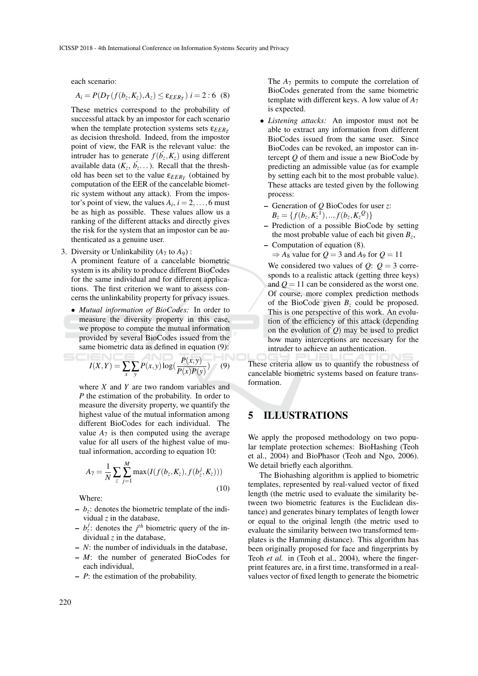each scenario:

$$
A_i = P(D_T(f(b_z, K_z), A_z) \le \varepsilon_{EER_T}) \ i = 2:6 \ (8)
$$

These metrics correspond to the probability of successful attack by an impostor for each scenario when the template protection systems sets  $\varepsilon_{EER_T}$ as decision threshold. Indeed, from the impostor point of view, the FAR is the relevant value: the intruder has to generate  $f(b_z, K_z)$  using different available data  $(K_z, b_z, ...)$ . Recall that the threshold has been set to the value  $\varepsilon_{EER_T}$  (obtained by computation of the EER of the cancelable biometric system without any attack). From the impostor's point of view, the values  $A_i$ ,  $i = 2, \ldots, 6$  must be as high as possible. These values allow us a ranking of the different attacks and directly gives the risk for the system that an impostor can be authenticated as a genuine user.

- 3. Diversity or Unlinkability  $(A_7 \text{ to } A_9)$ : A prominent feature of a cancelable biometric system is its ability to produce different BioCodes for the same individual and for different applications. The first criterion we want to assess concerns the unlinkability property for privacy issues.
	- *Mutual information of BioCodes:* In order to measure the diversity property in this case, we propose to compute the mutual information provided by several BioCodes issued from the same biometric data as defined in equation (9):

$$
I(X,Y) = \sum_{x} \sum_{y} P(x,y) \log(\frac{P(x,y)}{P(x)P(y)}) \qquad (9)
$$

where *X* and *Y* are two random variables and *P* the estimation of the probability. In order to measure the diversity property, we quantify the highest value of the mutual information among different BioCodes for each individual. The value  $A_7$  is then computed using the average value for all users of the highest value of mutual information, according to equation 10:

$$
A_7 = \frac{1}{N} \sum_{z} \sum_{j=1}^{M} \max(I(f(b_z, K_z), f(b_z^j, K_z)))
$$
\n(10)

Where:

- $b_z$ : denotes the biometric template of the individual *z* in the database,
- $b_z^j$ : denotes the *j*<sup>th</sup> biometric query of the individual *z* in the database,
- *N*: the number of individuals in the database,
- *M*: the number of generated BioCodes for each individual,
- *P*: the estimation of the probability.

The *A*<sup>7</sup> permits to compute the correlation of BioCodes generated from the same biometric template with different keys. A low value of *A*<sup>7</sup> is expected.

- *Listening attacks:* An impostor must not be able to extract any information from different BioCodes issued from the same user. Since BioCodes can be revoked, an impostor can intercept *Q* of them and issue a new BioCode by predicting an admissible value (as for example by setting each bit to the most probable value). These attacks are tested given by the following process:
- Generation of *Q* BioCodes for user *z*:  $B_z = \{f(b_z, K_z^1),..., f(b_z, K_z^Q)\}$
- Prediction of a possible BioCode by setting the most probable value of each bit given  $B_z$ ,
- Computation of equation (8).

 $\Rightarrow$  *A*<sub>8</sub> value for *Q* = 3 and *A*<sub>9</sub> for *Q* = 11

We considered two values of  $Q: Q = 3$  corresponds to a realistic attack (getting three keys) and  $Q = 11$  can be considered as the worst one. Of course, more complex prediction methods of the BioCode given  $B_z$  could be proposed. This is one perspective of this work. An evolution of the efficiency of this attack (depending on the evolution of *Q*) may be used to predict how many interceptions are necessary for the intruder to achieve an authentication.

These criteria allow us to quantify the robustness of cancelable biometric systems based on feature transformation.

### 5 ILLUSTRATIONS

We apply the proposed methodology on two popular template protection schemes: BioHashing (Teoh et al., 2004) and BioPhasor (Teoh and Ngo, 2006). We detail briefly each algorithm.

The Biohashing algorithm is applied to biometric templates, represented by real-valued vector of fixed length (the metric used to evaluate the similarity between two biometric features is the Euclidean distance) and generates binary templates of length lower or equal to the original length (the metric used to evaluate the similarity between two transformed templates is the Hamming distance). This algorithm has been originally proposed for face and fingerprints by Teoh *et al.* in (Teoh et al., 2004), where the fingerprint features are, in a first time, transformed in a realvalues vector of fixed length to generate the biometric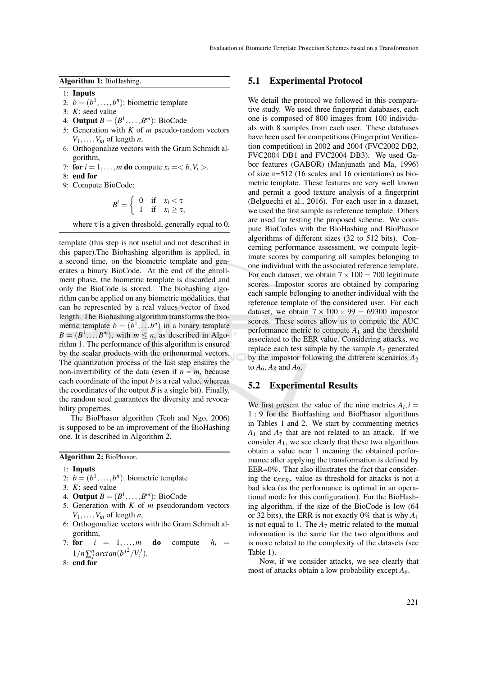Algorithm 1: BioHashing.

- 1: Inputs
- 2:  $b = (b^1, \ldots, b^n)$ : biometric template
- 3: *K*: seed value
- 4: **Output**  $B = (B^1, \ldots, B^m)$ : BioCode
- 5: Generation with *K* of *m* pseudo-random vectors  $V_1, \ldots, V_m$  of length *n*,
- 6: Orthogonalize vectors with the Gram Schmidt algorithm,
- 7: for  $i = 1, \ldots, m$  do compute  $x_i = \langle b, V_i \rangle$ .
- 8: end for
- 9: Compute BioCode:

$$
B^i = \left\{ \begin{array}{ll} 0 & \text{if} \quad x_i < \tau \\ 1 & \text{if} \quad x_i \ge \tau, \end{array} \right.
$$

where  $\tau$  is a given threshold, generally equal to 0.

template (this step is not useful and not described in this paper).The Biohashing algorithm is applied, in a second time, on the biometric template and generates a binary BioCode. At the end of the enrollment phase, the biometric template is discarded and only the BioCode is stored. The biohashing algorithm can be applied on any biometric modalities, that can be represented by a real values vector of fixed length. The Biohashing algorithm transforms the biometric template  $b = (b^1, \ldots, b^n)$  in a binary template  $B = (B^1, \dots, B^m)$ , with  $m \le n$ , as described in Algorithm 1. The performance of this algorithm is ensured by the scalar products with the orthonormal vectors. The quantization process of the last step ensures the non-invertibility of the data (even if  $n = m$ , because each coordinate of the input *b* is a real value, whereas the coordinates of the output  $B$  is a single bit). Finally, the random seed guarantees the diversity and revocability properties.

The BioPhasor algorithm (Teoh and Ngo, 2006) is supposed to be an improvement of the BioHashing one. It is described in Algorithm 2.

| Algorithm 2: BioPhasor. |  |  |
|-------------------------|--|--|
|-------------------------|--|--|

1: Inputs

- 2:  $b = (b^1, \ldots, b^n)$ : biometric template
- 3: *K*: seed value
- 4: **Output**  $B = (B^1, \ldots, B^m)$ : BioCode
- 5: Generation with *K* of *m* pseudorandom vectors  $V_1, \ldots, V_m$  of length *n*,
- 6: Orthogonalize vectors with the Gram Schmidt algorithm,
- 7: for  $i = 1, \ldots, m$  do compute  $h_i =$  $1/n \sum_{j}^{n} \arctan(b^{j^2}/V_i^j)$ .
- 8: end for

#### 5.1 Experimental Protocol

We detail the protocol we followed in this comparative study. We used three fingerprint databases, each one is composed of 800 images from 100 individuals with 8 samples from each user. These databases have been used for competitions (Fingerprint Verification competition) in 2002 and 2004 (FVC2002 DB2, FVC2004 DB1 and FVC2004 DB3). We used Gabor features (GABOR) (Manjunath and Ma, 1996) of size n=512 (16 scales and 16 orientations) as biometric template. These features are very well known and permit a good texture analysis of a fingerprint (Belguechi et al., 2016). For each user in a dataset, we used the first sample as reference template. Others are used for testing the proposed scheme. We compute BioCodes with the BioHashing and BioPhasor algorithms of different sizes (32 to 512 bits). Concerning performance assessment, we compute legitimate scores by comparing all samples belonging to one individual with the associated reference template. For each dataset, we obtain  $7 \times 100 = 700$  legitimate scores. Impostor scores are obtained by comparing each sample belonging to another individual with the reference template of the considered user. For each dataset, we obtain  $7 \times 100 \times 99 = 69300$  impostor scores. These scores allow us to compute the AUC performance metric to compute  $A_1$  and the threshold associated to the EER value. Considering attacks, we replace each test sample by the sample *A<sup>z</sup>* generated by the impostor following the different scenarios  $A_2$ to  $A_6$ ,  $A_8$  and  $A_9$ .

#### 5.2 Experimental Results

We first present the value of the nine metrics  $A_i$ ,  $i =$ 1 : 9 for the BioHashing and BioPhasor algorithms in Tables 1 and 2. We start by commenting metrics  $A_1$  and  $A_7$  that are not related to an attack. If we consider  $A_1$ , we see clearly that these two algorithms obtain a value near 1 meaning the obtained performance after applying the transformation is defined by EER=0%. That also illustrates the fact that considering the  $\varepsilon_{EER_T}$  value as threshold for attacks is not a bad idea (as the performance is optimal in an operational mode for this configuration). For the BioHashing algorithm, if the size of the BioCode is low (64 or 32 bits), the ERR is not exactly 0% that is why *A*<sup>1</sup> is not equal to 1. The  $A_7$  metric related to the mutual information is the same for the two algorithms and is more related to the complexity of the datasets (see Table 1).

Now, if we consider attacks, we see clearly that most of attacks obtain a low probability except  $A_6$ .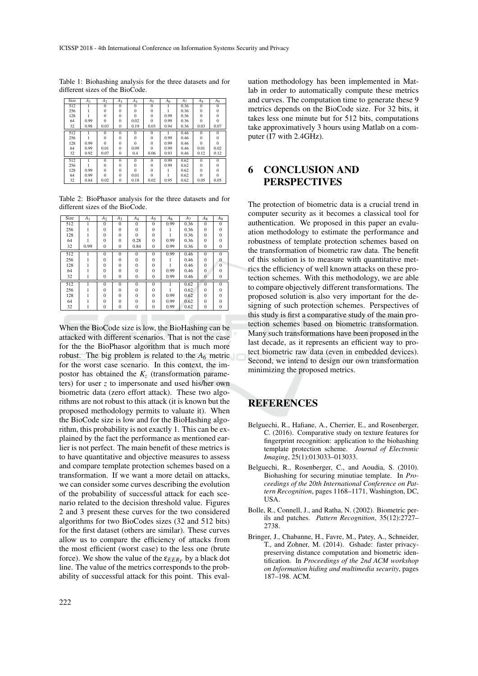| Size | A <sub>1</sub> | A <sub>2</sub> | $A_3$          | $A_4$    | $A_5$          | A <sub>6</sub> | A <sub>7</sub> | $A_8$    | A <sub>9</sub> |
|------|----------------|----------------|----------------|----------|----------------|----------------|----------------|----------|----------------|
| 512  |                | $\overline{0}$ | $\overline{0}$ | $\Omega$ | $\Omega$       |                | 0.36           | $\Omega$ | $\Omega$       |
| 256  |                | $\Omega$       | $\Omega$       | $\Omega$ | $\Omega$       |                | 0.36           | $\Omega$ | $\Omega$       |
| 128  |                | $\Omega$       | $\Omega$       | $\Omega$ | $\Omega$       | 0.99           | 0.36           | $\Omega$ | $\Omega$       |
| 64   | 0.99           | $\Omega$       | $\Omega$       | 0.02     | $\Omega$       | 0.99           | 0.36           | $\Omega$ | $\Omega$       |
| 32   | 0.98           | 0.03           | $\mathbf{0}$   | 0.19     | 0.03           | 0.94           | 0.36           | 0.03     | 0.07           |
| 512  | 1              | $\Omega$       | $\overline{0}$ | $\Omega$ | $\overline{0}$ | 1              | 0.46           | $\Omega$ | $\overline{0}$ |
| 256  |                | $\Omega$       | $\Omega$       | $\Omega$ | $\Omega$       | 0.99           | 0.46           | $\Omega$ | $\Omega$       |
| 128  | 0.99           | $\Omega$       | $\Omega$       | $\Omega$ | $\Omega$       | 0.99           | 0.46           | $\Omega$ | $\Omega$       |
| 64   | 0.99           | 0.01           | $\Omega$       | 0.09     | $\Omega$       | 0.99           | 0.46           | 0.01     | 0.02           |
| 32   | 0.92           | 0.07           | $\mathbf{0}$   | 0.4      | 0.06           | 0.93           | 0.46           | 0.12     | 0.12           |
| 512  |                | $\Omega$       | $\theta$       | $\Omega$ | $\Omega$       | 0.99           | 0.62           | $\Omega$ | $\Omega$       |
| 256  |                | $\Omega$       | $\Omega$       | $\Omega$ | $\Omega$       | 0.99           | 0.62           | $\Omega$ | 0              |
| 128  | 0.99           | $\Omega$       | $\Omega$       | $\Omega$ | $\Omega$       |                | 0.62           | $\Omega$ |                |
| 64   | 0.99           | $\Omega$       | $\Omega$       | 0.01     | $\Omega$       |                | 0.62           | $\Omega$ | $\Omega$       |
| 32   | 0.84           | 0.02           | $\mathbf{0}$   | 0.18     | 0.02           | 0.95           | 0.62           | 0.05     | 0.05           |

Table 1: Biohashing analysis for the three datasets and for different sizes of the BioCode.

Table 2: BioPhasor analysis for the three datasets and for different sizes of the BioCode.

| Size | A <sub>1</sub> | A <sub>2</sub> | $A_3$        | $A_4$        | $A_5$        | $A_6$ | $A_7$ | Ag           | A9           |
|------|----------------|----------------|--------------|--------------|--------------|-------|-------|--------------|--------------|
| 512  |                | $\Omega$       | $\Omega$     | $\Omega$     | $\Omega$     | 0.99  | 0.36  | $\Omega$     | $\Omega$     |
| 256  |                | $\Omega$       | $\Omega$     | $\mathbf{0}$ | $\Omega$     |       | 0.36  | $\Omega$     | $\Omega$     |
| 128  |                | $\Omega$       | $\Omega$     | $\Omega$     | $\Omega$     |       | 0.36  | $\Omega$     | $\Omega$     |
| 64   |                | $\Omega$       | $\Omega$     | 0.28         | $\Omega$     | 0.99  | 0.36  | $\Omega$     | $\Omega$     |
| 32   | 0.99           | $\mathbf{0}$   | $\mathbf{0}$ | 0.84         | $\mathbf{0}$ | 0.99  | 0.36  | $\mathbf{0}$ | $\mathbf{0}$ |
| 512  |                | $\Omega$       | $\Omega$     | $\mathbf{0}$ | $\Omega$     | 0.99  | 0.46  | $\Omega$     | $\Omega$     |
| 256  |                | $\Omega$       | $\Omega$     | $\Omega$     | $\Omega$     |       | 0.46  | $\Omega$     | $\Omega$     |
| 128  |                | $\Omega$       | $\Omega$     | $\Omega$     | $\Omega$     |       | 0.46  | $\Omega$     | $\theta$     |
| 64   |                | $\Omega$       | $\theta$     | $\mathbf{0}$ | $\Omega$     | 0.99  | 0.46  | $\Omega$     | $\Omega$     |
| 32   |                | $\mathbf{0}$   | $\mathbf{0}$ | $\mathbf{0}$ | $\mathbf{0}$ | 0.99  | 0.46  | $\Omega$     | $\Omega$     |
| 512  |                | $\Omega$       | $\Omega$     | $\Omega$     | $\Omega$     |       | 0.62  | $\Omega$     | $\Omega$     |
| 256  |                | $\Omega$       | $\Omega$     | $\Omega$     | $\Omega$     |       | 0.62  | $\Omega$     | $\Omega$     |
| 128  |                | $\Omega$       | $\Omega$     | $\Omega$     | $\Omega$     | 0.99  | 0.62  | $\Omega$     | $\Omega$     |
| 64   |                | $\Omega$       | $\Omega$     | $\Omega$     | $\Omega$     | 0.99  | 0.62  | $\Omega$     | $\Omega$     |
| 32   |                | $\mathbf{0}$   | $\bf{0}$     | $\mathbf{0}$ | $\mathbf{0}$ | 0.99  | 0.62  | $\mathbf{0}$ | $\mathbf{0}$ |

When the BioCode size is low, the BioHashing can be attacked with different scenarios. That is not the case for the the BioPhasor algorithm that is much more robust. The big problem is related to the  $A_6$  metric for the worst case scenario. In this context, the impostor has obtained the  $K_z$  (transformation parameters) for user *z* to impersonate and used his/her own biometric data (zero effort attack). These two algorithms are not robust to this attack (it is known but the proposed methodology permits to valuate it). When the BioCode size is low and for the BioHashing algorithm, this probability is not exactly 1. This can be explained by the fact the performance as mentioned earlier is not perfect. The main benefit of these metrics is to have quantitative and objective measures to assess and compare template protection schemes based on a transformation. If we want a more detail on attacks, we can consider some curves describing the evolution of the probability of successful attack for each scenario related to the decision threshold value. Figures 2 and 3 present these curves for the two considered algorithms for two BioCodes sizes (32 and 512 bits) for the first dataset (others are similar). These curves allow us to compare the efficiency of attacks from the most efficient (worst case) to the less one (brute force). We show the value of the  $\epsilon_{EER_T}$  by a black dot line. The value of the metrics corresponds to the probability of successful attack for this point. This eval-

uation methodology has been implemented in Matlab in order to automatically compute these metrics and curves. The computation time to generate these 9 metrics depends on the BioCode size. For 32 bits, it takes less one minute but for 512 bits, computations take approximatively 3 hours using Matlab on a computer (I7 with 2.4GHz).

### 6 CONCLUSION AND PERSPECTIVES

The protection of biometric data is a crucial trend in computer security as it becomes a classical tool for authentication. We proposed in this paper an evaluation methodology to estimate the performance and robustness of template protection schemes based on the transformation of biometric raw data. The benefit of this solution is to measure with quantitative metrics the efficiency of well known attacks on these protection schemes. With this methodology, we are able to compare objectively different transformations. The proposed solution is also very important for the designing of such protection schemes. Perspectives of this study is first a comparative study of the main protection schemes based on biometric transformation. Many such transformations have been proposed in the last decade, as it represents an efficient way to protect biometric raw data (even in embedded devices). Second, we intend to design our own transformation minimizing the proposed metrics.

## **REFERENCES**

- Belguechi, R., Hafiane, A., Cherrier, E., and Rosenberger, C. (2016). Comparative study on texture features for fingerprint recognition: application to the biohashing template protection scheme. *Journal of Electronic Imaging*, 25(1):013033–013033.
- Belguechi, R., Rosenberger, C., and Aoudia, S. (2010). Biohashing for securing minutiae template. In *Proceedings of the 20th International Conference on Pattern Recognition*, pages 1168–1171, Washington, DC, **IISA**
- Bolle, R., Connell, J., and Ratha, N. (2002). Biometric perils and patches. *Pattern Recognition*, 35(12):2727– 2738.
- Bringer, J., Chabanne, H., Favre, M., Patey, A., Schneider, T., and Zohner, M. (2014). Gshade: faster privacypreserving distance computation and biometric identification. In *Proceedings of the 2nd ACM workshop on Information hiding and multimedia security*, pages 187–198. ACM.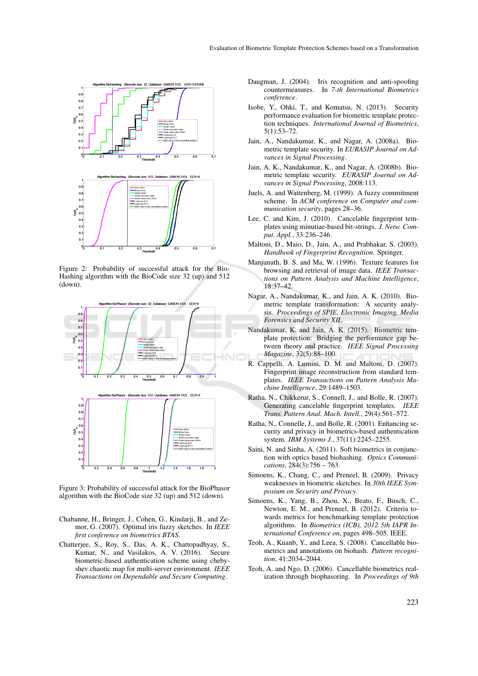

Figure 2: Probability of successful attack for the Bio-Hashing algorithm with the BioCode size 32 (up) and 512 (down).



Figure 3: Probability of successful attack for the BioPhasor algorithm with the BioCode size 32 (up) and 512 (down).

- Chabanne, H., Bringer, J., Cohen, G., Kindarji, B., and Zemor, G. (2007). Optimal iris fuzzy sketches. In *IEEE first conference on biometrics BTAS*.
- Chatterjee, S., Roy, S., Das, A. K., Chattopadhyay, S., Kumar, N., and Vasilakos, A. V. (2016). Secure biometric-based authentication scheme using chebyshev chaotic map for multi-server environment. *IEEE Transactions on Dependable and Secure Computing*.
- Daugman, J. (2004). Iris recognition and anti-spoofing countermeasures. In *7-th International Biometrics conference*.
- Isobe, Y., Ohki, T., and Komatsu, N. (2013). Security performance evaluation for biometric template protection techniques. *International Journal of Biometrics*, 5(1):53–72.
- Jain, A., Nandakumar, K., and Nagar, A. (2008a). Biometric template security. In *EURASIP Journal on Advances in Signal Processing*.
- Jain, A. K., Nandakumar, K., and Nagar, A. (2008b). Biometric template security. *EURASIP Journal on Advances in Signal Processing*, 2008:113.
- Juels, A. and Wattenberg, M. (1999). A fuzzy commitment scheme. In *ACM conference on Computer and communication security*, pages 28–36.
- Lee, C. and Kim, J. (2010). Cancelable fingerprint templates using minutiae-based bit-strings. *J. Netw. Comput. Appl.*, 33:236–246.
- Maltoni, D., Maio, D., Jain, A., and Prabhakar, S. (2003). *Handbook of Fingerprint Recognition*. Springer.
- Manjunath, B. S. and Ma, W. (1996). Texture features for browsing and retrieval of image data. *IEEE Transactions on Pattern Analysis and Machine Intelligence*, 18:37–42.
- Nagar, A., Nandakumar, K., and Jain, A. K. (2010). Biometric template transformation: A security analysis. *Proceedings of SPIE, Electronic Imaging, Media Forensics and Security XII*.
- Nandakumar, K. and Jain, A. K. (2015). Biometric template protection: Bridging the performance gap between theory and practice. *IEEE Signal Processing Magazine*, 32(5):88–100.
- R. Cappelli, A. Lumini, D. M. and Maltoni, D. (2007). Fingerprint image reconstruction from standard templates. *IEEE Transactions on Pattern Analysis Machine Intelligence*, 29:1489–1503.
- Ratha, N., Chikkerur, S., Connell, J., and Bolle, R. (2007). Generating cancelable fingerprint templates. *IEEE Trans. Pattern Anal. Mach. Intell.*, 29(4):561–572.
- Ratha, N., Connelle, J., and Bolle, R. (2001). Enhancing security and privacy in biometrics-based authentication system. *IBM Systems J.*, 37(11):2245–2255.
- Saini, N. and Sinha, A. (2011). Soft biometrics in conjunction with optics based biohashing. *Optics Communications*, 284(3):756 – 763.
- Simoens, K., Chang, C., and Preneel, B. (2009). Privacy weaknesses in biometric sketches. In *30th IEEE Symposium on Security and Privacy*.
- Simoens, K., Yang, B., Zhou, X., Beato, F., Busch, C., Newton, E. M., and Preneel, B. (2012). Criteria towards metrics for benchmarking template protection algorithms. In *Biometrics (ICB), 2012 5th IAPR International Conference on*, pages 498–505. IEEE.
- Teoh, A., Kuanb, Y., and Leea, S. (2008). Cancellable biometrics and annotations on biohash. *Pattern recognition*, 41:2034–2044.
- Teoh, A. and Ngo, D. (2006). Cancellable biometrics realization through biophasoring. In *Proceedings of 9th*